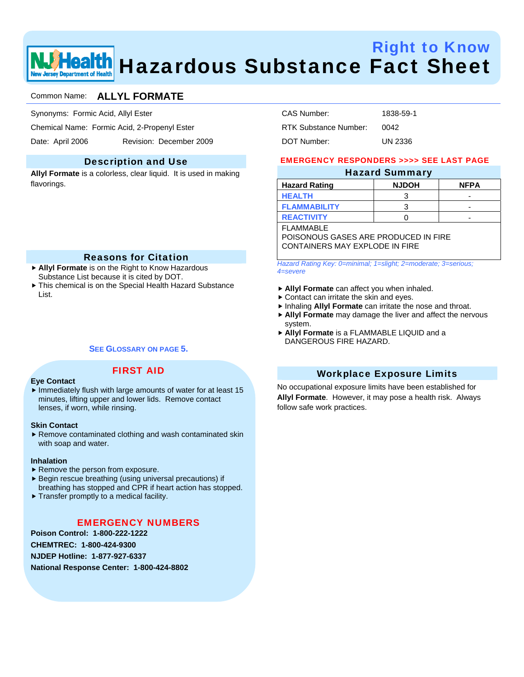

# Right to Know **ealth** Hazardous Substance Fact Sheet

### Common Name: **ALLYL FORMATE**

Synonyms: Formic Acid, Allyl Ester

Chemical Name: Formic Acid, 2-Propenyl Ester

Date: April 2006 Revision: December 2009

#### Description and Use

**Allyl Formate** is a colorless, clear liquid. It is used in making flavorings.

#### Reasons for Citation

- ▶ Allyl Formate is on the Right to Know Hazardous Substance List because it is cited by DOT.
- $\blacktriangleright$  This chemical is on the Special Health Hazard Substance List.

#### **SEE GLOSSARY ON PAGE 5.**

FIRST AID

#### **Eye Contact**

 $\blacktriangleright$  Immediately flush with large amounts of water for at least 15 minutes, lifting upper and lower lids. Remove contact lenses, if worn, while rinsing.

#### **Skin Contact**

 $\blacktriangleright$  Remove contaminated clothing and wash contaminated skin with soap and water.

#### **Inhalation**

- $\blacktriangleright$  Remove the person from exposure.
- $\blacktriangleright$  Begin rescue breathing (using universal precautions) if breathing has stopped and CPR if heart action has stopped.
- $\blacktriangleright$  Transfer promptly to a medical facility.

#### EMERGENCY NUMBERS

**Poison Control: 1-800-222-1222** 

**CHEMTREC: 1-800-424-9300** 

**NJDEP Hotline: 1-877-927-6337** 

**National Response Center: 1-800-424-8802** 

| CAS Number:           | 1838-59-1 |
|-----------------------|-----------|
| RTK Substance Number: | 0042      |
| DOT Number:           | UN 2336   |

#### EMERGENCY RESPONDERS >>>> SEE LAST PAGE

#### Hazard Summary

| <b>Hazard Rating</b> | <b>NJDOH</b> | <b>NFPA</b> |
|----------------------|--------------|-------------|
| <b>HEALTH</b>        |              | -           |
| <b>FLAMMABILITY</b>  |              | -           |
| <b>REACTIVITY</b>    |              | -           |

**FI AMMARI F** 

POISONOUS GASES ARE PRODUCED IN FIRE CONTAINERS MAY EXPLODE IN FIRE

*Hazard Rating Key: 0=minimal; 1=slight; 2=moderate; 3=serious; 4=severe*

- **Allyl Formate** can affect you when inhaled.
- $\triangleright$  Contact can irritate the skin and eyes.
- **Finhaling Allyl Formate** can irritate the nose and throat.
- **Allyl Formate** may damage the liver and affect the nervous system.
- f **Allyl Formate** is a FLAMMABLE LIQUID and a DANGEROUS FIRE HAZARD.

#### Workplace Exposure Limits

No occupational exposure limits have been established for **Allyl Formate**. However, it may pose a health risk. Always follow safe work practices.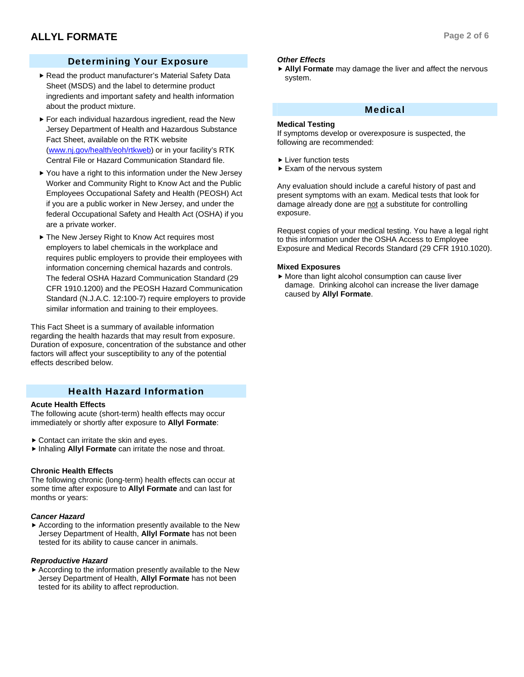## Determining Your Exposure

- Read the product manufacturer's Material Safety Data Sheet (MSDS) and the label to determine product ingredients and important safety and health information about the product mixture.
- $\blacktriangleright$  For each individual hazardous ingredient, read the New Jersey Department of Health and Hazardous Substance Fact Sheet, available on the RTK website (www.nj.gov/health/eoh/rtkweb) or in your facility's RTK Central File or Hazard Communication Standard file.
- $\blacktriangleright$  You have a right to this information under the New Jersey Worker and Community Right to Know Act and the Public Employees Occupational Safety and Health (PEOSH) Act if you are a public worker in New Jersey, and under the federal Occupational Safety and Health Act (OSHA) if you are a private worker.
- ▶ The New Jersey Right to Know Act requires most employers to label chemicals in the workplace and requires public employers to provide their employees with information concerning chemical hazards and controls. The federal OSHA Hazard Communication Standard (29 CFR 1910.1200) and the PEOSH Hazard Communication Standard (N.J.A.C. 12:100-7) require employers to provide similar information and training to their employees.

This Fact Sheet is a summary of available information regarding the health hazards that may result from exposure. Duration of exposure, concentration of the substance and other factors will affect your susceptibility to any of the potential effects described below.

#### Health Hazard Information

#### **Acute Health Effects**

The following acute (short-term) health effects may occur immediately or shortly after exposure to **Allyl Formate**:

- $\triangleright$  Contact can irritate the skin and eves.
- **Finhaling Allyl Formate** can irritate the nose and throat.

#### **Chronic Health Effects**

The following chronic (long-term) health effects can occur at some time after exposure to **Allyl Formate** and can last for months or years:

#### *Cancer Hazard*

 $\blacktriangleright$  According to the information presently available to the New Jersey Department of Health, **Allyl Formate** has not been tested for its ability to cause cancer in animals.

#### *Reproductive Hazard*

 $\blacktriangleright$  According to the information presently available to the New Jersey Department of Health, **Allyl Formate** has not been tested for its ability to affect reproduction.

#### *Other Effects*

**Allyl Formate** may damage the liver and affect the nervous system.

#### Medical

#### **Medical Testing**

If symptoms develop or overexposure is suspected, the following are recommended:

- $\blacktriangleright$  Liver function tests
- $\blacktriangleright$  Exam of the nervous system

Any evaluation should include a careful history of past and present symptoms with an exam. Medical tests that look for damage already done are not a substitute for controlling exposure.

Request copies of your medical testing. You have a legal right to this information under the OSHA Access to Employee Exposure and Medical Records Standard (29 CFR 1910.1020).

#### **Mixed Exposures**

 $\blacktriangleright$  More than light alcohol consumption can cause liver damage. Drinking alcohol can increase the liver damage caused by **Allyl Formate**.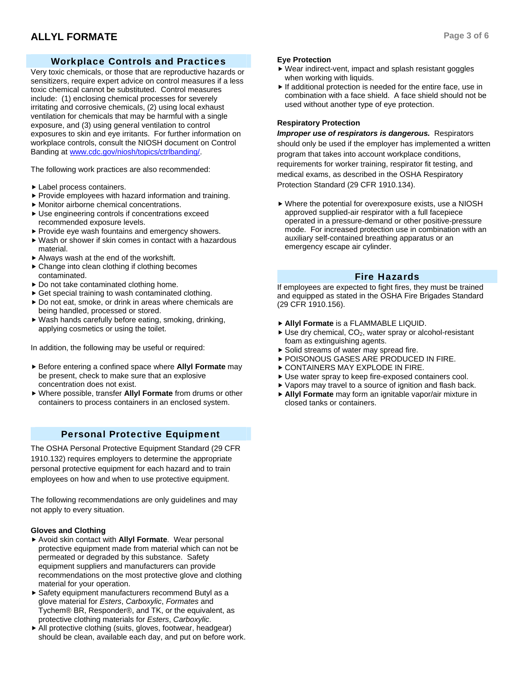# Workplace Controls and Practices

Very toxic chemicals, or those that are reproductive hazards or sensitizers, require expert advice on control measures if a less toxic chemical cannot be substituted. Control measures include: (1) enclosing chemical processes for severely irritating and corrosive chemicals, (2) using local exhaust ventilation for chemicals that may be harmful with a single exposure, and (3) using general ventilation to control exposures to skin and eye irritants. For further information on workplace controls, consult the NIOSH document on Control Banding at www.cdc.gov/niosh/topics/ctrlbanding/.

The following work practices are also recommended:

- $\blacktriangleright$  Label process containers.
- $\blacktriangleright$  Provide employees with hazard information and training.
- $\blacktriangleright$  Monitor airborne chemical concentrations.
- $\blacktriangleright$  Use engineering controls if concentrations exceed recommended exposure levels.
- $\blacktriangleright$  Provide eye wash fountains and emergency showers.
- $\blacktriangleright$  Wash or shower if skin comes in contact with a hazardous material.
- $\blacktriangleright$  Always wash at the end of the workshift.
- $\triangleright$  Change into clean clothing if clothing becomes contaminated.
- $\triangleright$  Do not take contaminated clothing home.
- $\triangleright$  Get special training to wash contaminated clothing.
- $\triangleright$  Do not eat, smoke, or drink in areas where chemicals are being handled, processed or stored.
- $\blacktriangleright$  Wash hands carefully before eating, smoking, drinking, applying cosmetics or using the toilet.

In addition, the following may be useful or required:

- ▶ Before entering a confined space where **Allyl Formate** may be present, check to make sure that an explosive concentration does not exist.
- f Where possible, transfer **Allyl Formate** from drums or other containers to process containers in an enclosed system.

#### Personal Protective Equipment

The OSHA Personal Protective Equipment Standard (29 CFR 1910.132) requires employers to determine the appropriate personal protective equipment for each hazard and to train employees on how and when to use protective equipment.

The following recommendations are only guidelines and may not apply to every situation.

#### **Gloves and Clothing**

- ▶ Avoid skin contact with **Allyl Formate**. Wear personal protective equipment made from material which can not be permeated or degraded by this substance. Safety equipment suppliers and manufacturers can provide recommendations on the most protective glove and clothing material for your operation.
- ▶ Safety equipment manufacturers recommend Butyl as a glove material for *Esters*, *Carboxylic*, *Formates* and Tychem® BR, Responder®, and TK, or the equivalent, as protective clothing materials for *Esters*, *Carboxylic*.
- $\blacktriangleright$  All protective clothing (suits, gloves, footwear, headgear) should be clean, available each day, and put on before work.

#### **Eye Protection**

- $\blacktriangleright$  Wear indirect-vent, impact and splash resistant goggles when working with liquids.
- $\blacktriangleright$  If additional protection is needed for the entire face, use in combination with a face shield. A face shield should not be used without another type of eye protection.

#### **Respiratory Protection**

*Improper use of respirators is dangerous.* Respirators should only be used if the employer has implemented a written program that takes into account workplace conditions, requirements for worker training, respirator fit testing, and medical exams, as described in the OSHA Respiratory Protection Standard (29 CFR 1910.134).

 $\blacktriangleright$  Where the potential for overexposure exists, use a NIOSH approved supplied-air respirator with a full facepiece operated in a pressure-demand or other positive-pressure mode. For increased protection use in combination with an auxiliary self-contained breathing apparatus or an emergency escape air cylinder.

#### Fire Hazards

If employees are expected to fight fires, they must be trained and equipped as stated in the OSHA Fire Brigades Standard (29 CFR 1910.156).

- f **Allyl Formate** is a FLAMMABLE LIQUID.
- $\blacktriangleright$  Use dry chemical, CO<sub>2</sub>, water spray or alcohol-resistant foam as extinguishing agents.
- $\triangleright$  Solid streams of water may spread fire.
- **POISONOUS GASES ARE PRODUCED IN FIRE.**
- **EXPLODE IN FIRE.**
- Use water spray to keep fire-exposed containers cool.
- $\blacktriangleright$  Vapors may travel to a source of ignition and flash back.
- f **Allyl Formate** may form an ignitable vapor/air mixture in closed tanks or containers.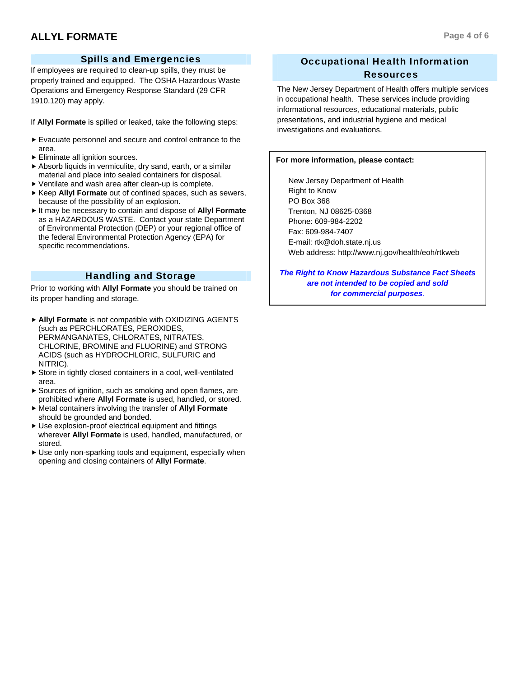## Spills and Emergencies

If employees are required to clean-up spills, they must be properly trained and equipped. The OSHA Hazardous Waste Operations and Emergency Response Standard (29 CFR 1910.120) may apply.

If **Allyl Formate** is spilled or leaked, take the following steps:

- $\blacktriangleright$  Evacuate personnel and secure and control entrance to the area.
- $\blacktriangleright$  Eliminate all ignition sources.
- $\blacktriangleright$  Absorb liquids in vermiculite, dry sand, earth, or a similar material and place into sealed containers for disposal.
- $\blacktriangleright$  Ventilate and wash area after clean-up is complete.
- ▶ Keep Allyl Formate out of confined spaces, such as sewers, because of the possibility of an explosion.
- $\blacktriangleright$  It may be necessary to contain and dispose of **Allyl Formate** as a HAZARDOUS WASTE. Contact your state Department of Environmental Protection (DEP) or your regional office of the federal Environmental Protection Agency (EPA) for specific recommendations.

#### Handling and Storage

Prior to working with **Allyl Formate** you should be trained on its proper handling and storage.

- **Allyl Formate** is not compatible with OXIDIZING AGENTS (such as PERCHLORATES, PEROXIDES, PERMANGANATES, CHLORATES, NITRATES, CHLORINE, BROMINE and FLUORINE) and STRONG ACIDS (such as HYDROCHLORIC, SULFURIC and NITRIC).
- $\triangleright$  Store in tightly closed containers in a cool, well-ventilated area.
- $\blacktriangleright$  Sources of ignition, such as smoking and open flames, are prohibited where **Allyl Formate** is used, handled, or stored.
- $\blacktriangleright$  Metal containers involving the transfer of **Allyl Formate** should be grounded and bonded.
- $\blacktriangleright$  Use explosion-proof electrical equipment and fittings wherever **Allyl Formate** is used, handled, manufactured, or stored.
- $\blacktriangleright$  Use only non-sparking tools and equipment, especially when opening and closing containers of **Allyl Formate**.

# Occupational Health Information Resources

The New Jersey Department of Health offers multiple services in occupational health. These services include providing informational resources, educational materials, public presentations, and industrial hygiene and medical investigations and evaluations.

#### **For more information, please contact:**

 New Jersey Department of Health Right to Know PO Box 368 Trenton, NJ 08625-0368 Phone: 609-984-2202 Fax: 609-984-7407 E-mail: rtk@doh.state.nj.us Web address: http://www.nj.gov/health/eoh/rtkweb

*The Right to Know Hazardous Substance Fact Sheets are not intended to be copied and sold for commercial purposes.*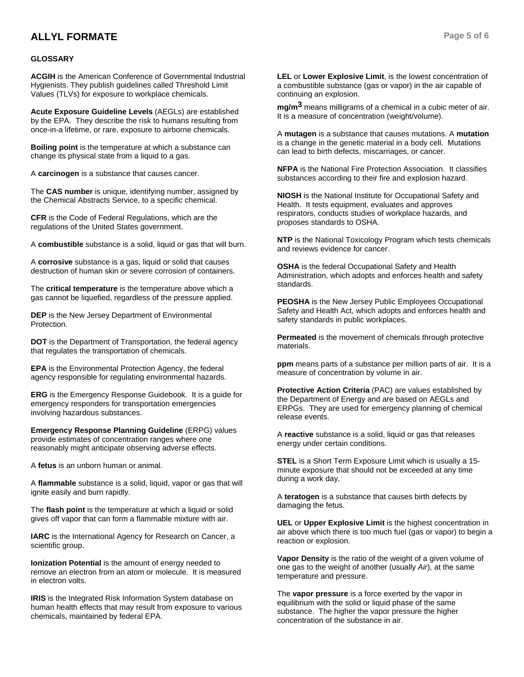# **ALLYL FORMATE Page 5 of 6**

#### **GLOSSARY**

**ACGIH** is the American Conference of Governmental Industrial Hygienists. They publish guidelines called Threshold Limit Values (TLVs) for exposure to workplace chemicals.

**Acute Exposure Guideline Levels** (AEGLs) are established by the EPA. They describe the risk to humans resulting from once-in-a lifetime, or rare, exposure to airborne chemicals.

**Boiling point** is the temperature at which a substance can change its physical state from a liquid to a gas.

A **carcinogen** is a substance that causes cancer.

The **CAS number** is unique, identifying number, assigned by the Chemical Abstracts Service, to a specific chemical.

**CFR** is the Code of Federal Regulations, which are the regulations of the United States government.

A **combustible** substance is a solid, liquid or gas that will burn.

A **corrosive** substance is a gas, liquid or solid that causes destruction of human skin or severe corrosion of containers.

The **critical temperature** is the temperature above which a gas cannot be liquefied, regardless of the pressure applied.

**DEP** is the New Jersey Department of Environmental Protection.

**DOT** is the Department of Transportation, the federal agency that regulates the transportation of chemicals.

**EPA** is the Environmental Protection Agency, the federal agency responsible for regulating environmental hazards.

**ERG** is the Emergency Response Guidebook. It is a guide for emergency responders for transportation emergencies involving hazardous substances.

**Emergency Response Planning Guideline** (ERPG) values provide estimates of concentration ranges where one reasonably might anticipate observing adverse effects.

A **fetus** is an unborn human or animal.

A **flammable** substance is a solid, liquid, vapor or gas that will ignite easily and burn rapidly.

The **flash point** is the temperature at which a liquid or solid gives off vapor that can form a flammable mixture with air.

**IARC** is the International Agency for Research on Cancer, a scientific group.

**Ionization Potential** is the amount of energy needed to remove an electron from an atom or molecule. It is measured in electron volts.

**IRIS** is the Integrated Risk Information System database on human health effects that may result from exposure to various chemicals, maintained by federal EPA.

**LEL** or **Lower Explosive Limit**, is the lowest concentration of a combustible substance (gas or vapor) in the air capable of continuing an explosion.

**mg/m3** means milligrams of a chemical in a cubic meter of air. It is a measure of concentration (weight/volume).

A **mutagen** is a substance that causes mutations. A **mutation** is a change in the genetic material in a body cell. Mutations can lead to birth defects, miscarriages, or cancer.

**NFPA** is the National Fire Protection Association. It classifies substances according to their fire and explosion hazard.

**NIOSH** is the National Institute for Occupational Safety and Health. It tests equipment, evaluates and approves respirators, conducts studies of workplace hazards, and proposes standards to OSHA.

**NTP** is the National Toxicology Program which tests chemicals and reviews evidence for cancer.

**OSHA** is the federal Occupational Safety and Health Administration, which adopts and enforces health and safety standards.

**PEOSHA** is the New Jersey Public Employees Occupational Safety and Health Act, which adopts and enforces health and safety standards in public workplaces.

**Permeated** is the movement of chemicals through protective materials.

**ppm** means parts of a substance per million parts of air. It is a measure of concentration by volume in air.

**Protective Action Criteria** (PAC) are values established by the Department of Energy and are based on AEGLs and ERPGs. They are used for emergency planning of chemical release events.

A **reactive** substance is a solid, liquid or gas that releases energy under certain conditions.

**STEL** is a Short Term Exposure Limit which is usually a 15 minute exposure that should not be exceeded at any time during a work day.

A **teratogen** is a substance that causes birth defects by damaging the fetus.

**UEL** or **Upper Explosive Limit** is the highest concentration in air above which there is too much fuel (gas or vapor) to begin a reaction or explosion.

**Vapor Density** is the ratio of the weight of a given volume of one gas to the weight of another (usually *Air*), at the same temperature and pressure.

The **vapor pressure** is a force exerted by the vapor in equilibrium with the solid or liquid phase of the same substance. The higher the vapor pressure the higher concentration of the substance in air.